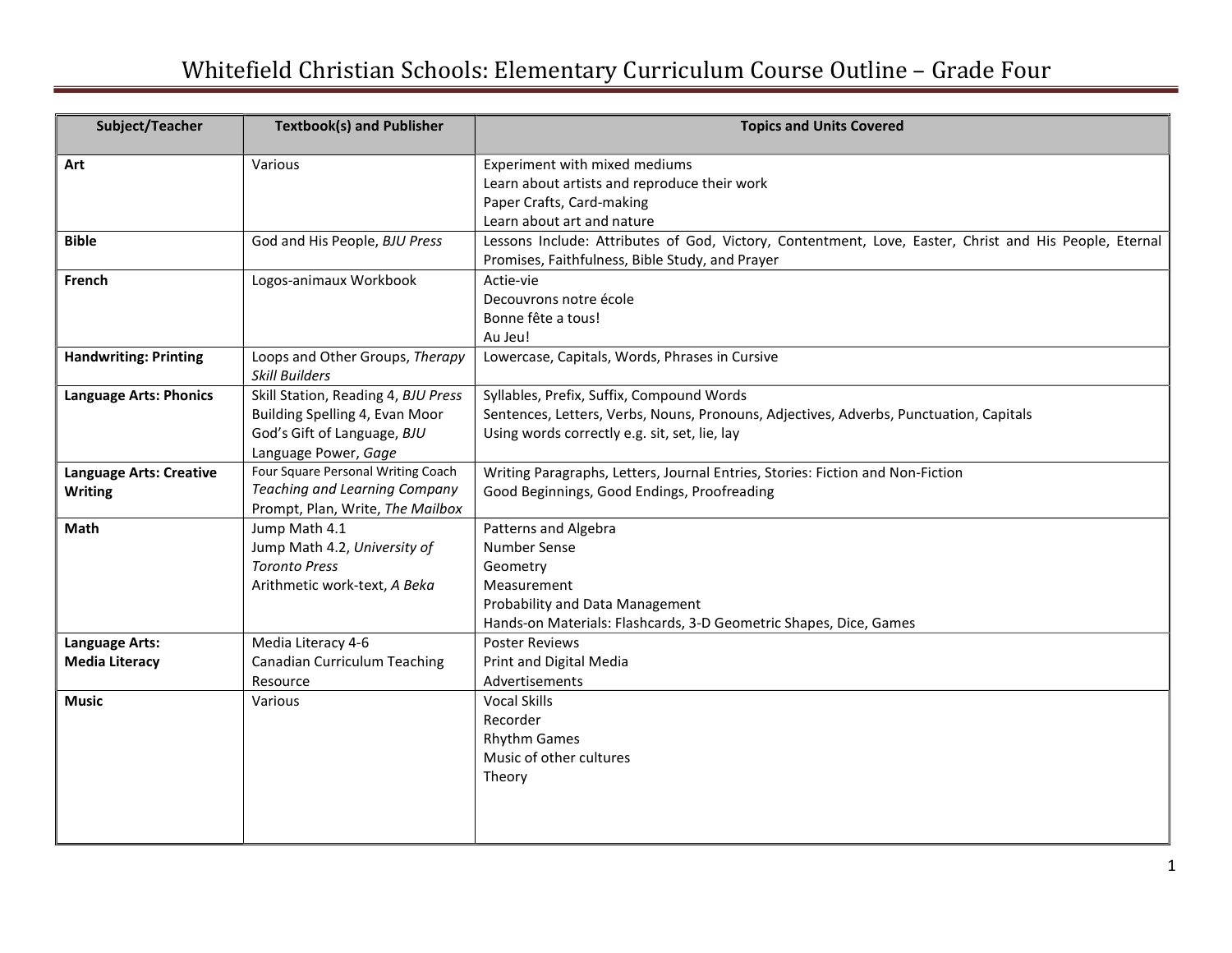## Whitefield Christian Schools: Elementary Curriculum Course Outline – Grade Four

| Subject/Teacher                | <b>Textbook(s) and Publisher</b>                                  | <b>Topics and Units Covered</b>                                                                        |
|--------------------------------|-------------------------------------------------------------------|--------------------------------------------------------------------------------------------------------|
| Art                            | Various                                                           | Experiment with mixed mediums                                                                          |
|                                |                                                                   | Learn about artists and reproduce their work                                                           |
|                                |                                                                   | Paper Crafts, Card-making                                                                              |
|                                |                                                                   | Learn about art and nature                                                                             |
| <b>Bible</b>                   | God and His People, BJU Press                                     | Lessons Include: Attributes of God, Victory, Contentment, Love, Easter, Christ and His People, Eternal |
|                                |                                                                   | Promises, Faithfulness, Bible Study, and Prayer                                                        |
| French                         | Logos-animaux Workbook                                            | Actie-vie                                                                                              |
|                                |                                                                   | Decouvrons notre école                                                                                 |
|                                |                                                                   | Bonne fête a tous!                                                                                     |
|                                |                                                                   | Au Jeu!                                                                                                |
| <b>Handwriting: Printing</b>   | Loops and Other Groups, Therapy                                   | Lowercase, Capitals, Words, Phrases in Cursive                                                         |
|                                | <b>Skill Builders</b>                                             |                                                                                                        |
| <b>Language Arts: Phonics</b>  | Skill Station, Reading 4, BJU Press                               | Syllables, Prefix, Suffix, Compound Words                                                              |
|                                | Building Spelling 4, Evan Moor                                    | Sentences, Letters, Verbs, Nouns, Pronouns, Adjectives, Adverbs, Punctuation, Capitals                 |
|                                | God's Gift of Language, BJU                                       | Using words correctly e.g. sit, set, lie, lay                                                          |
|                                | Language Power, Gage                                              |                                                                                                        |
| <b>Language Arts: Creative</b> | Four Square Personal Writing Coach                                | Writing Paragraphs, Letters, Journal Entries, Stories: Fiction and Non-Fiction                         |
| <b>Writing</b>                 | Teaching and Learning Company<br>Prompt, Plan, Write, The Mailbox | Good Beginnings, Good Endings, Proofreading                                                            |
| Math                           | Jump Math 4.1                                                     | Patterns and Algebra                                                                                   |
|                                | Jump Math 4.2, University of                                      | <b>Number Sense</b>                                                                                    |
|                                | <b>Toronto Press</b>                                              | Geometry                                                                                               |
|                                | Arithmetic work-text, A Beka                                      | Measurement                                                                                            |
|                                |                                                                   | Probability and Data Management                                                                        |
|                                |                                                                   | Hands-on Materials: Flashcards, 3-D Geometric Shapes, Dice, Games                                      |
| <b>Language Arts:</b>          | Media Literacy 4-6                                                | <b>Poster Reviews</b>                                                                                  |
| <b>Media Literacy</b>          | Canadian Curriculum Teaching                                      | Print and Digital Media                                                                                |
|                                | Resource                                                          | Advertisements                                                                                         |
| <b>Music</b>                   | Various                                                           | <b>Vocal Skills</b>                                                                                    |
|                                |                                                                   | Recorder                                                                                               |
|                                |                                                                   | <b>Rhythm Games</b>                                                                                    |
|                                |                                                                   | Music of other cultures                                                                                |
|                                |                                                                   | Theory                                                                                                 |
|                                |                                                                   |                                                                                                        |
|                                |                                                                   |                                                                                                        |
|                                |                                                                   |                                                                                                        |